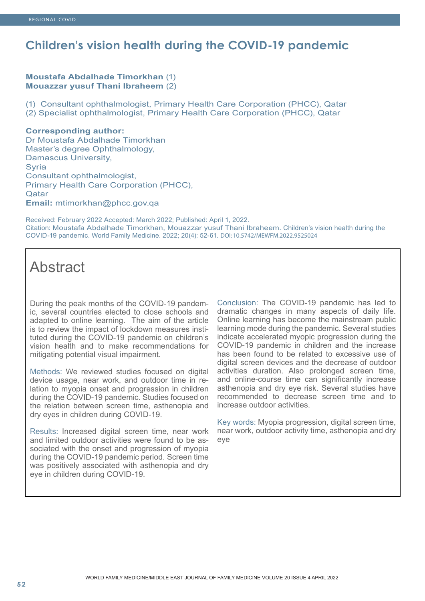## **Children's vision health during the COVID-19 pandemic**

#### **Moustafa Abdalhade Timorkhan** (1) **Mouazzar yusuf Thani Ibraheem** (2)

(1) Consultant ophthalmologist, Primary Health Care Corporation (PHCC), Qatar (2) Specialist ophthalmologist, Primary Health Care Corporation (PHCC), Qatar

#### **Corresponding author:**

Dr Moustafa Abdalhade Timorkhan Master's degree Ophthalmology, Damascus University, Syria Consultant ophthalmologist, Primary Health Care Corporation (PHCC), **Qatar Email:** mtimorkhan@phcc.gov.qa

Received: February 2022 Accepted: March 2022; Published: April 1, 2022. Citation: Moustafa Abdalhade Timorkhan, Mouazzar yusuf Thani Ibraheem. Children's vision health during the COVID-19 pandemic. World Family Medicine. 2022; 20(4): 52-61. DOI: 10.5742/MEWFM.2022.9525024

# Abstract

During the peak months of the COVID-19 pandemic, several countries elected to close schools and adapted to online learning. The aim of the article is to review the impact of lockdown measures instituted during the COVID-19 pandemic on children's vision health and to make recommendations for mitigating potential visual impairment.

Methods: We reviewed studies focused on digital device usage, near work, and outdoor time in relation to myopia onset and progression in children during the COVID-19 pandemic. Studies focused on the relation between screen time, asthenopia and dry eyes in children during COVID-19.

Results: Increased digital screen time, near work and limited outdoor activities were found to be associated with the onset and progression of myopia during the COVID-19 pandemic period. Screen time was positively associated with asthenopia and dry eye in children during COVID-19.

Conclusion: The COVID-19 pandemic has led to dramatic changes in many aspects of daily life. Online learning has become the mainstream public learning mode during the pandemic. Several studies indicate accelerated myopic progression during the COVID-19 pandemic in children and the increase has been found to be related to excessive use of digital screen devices and the decrease of outdoor activities duration. Also prolonged screen time, and online-course time can significantly increase asthenopia and dry eye risk. Several studies have recommended to decrease screen time and to increase outdoor activities.

Key words: Myopia progression, digital screen time, near work, outdoor activity time, asthenopia and dry eye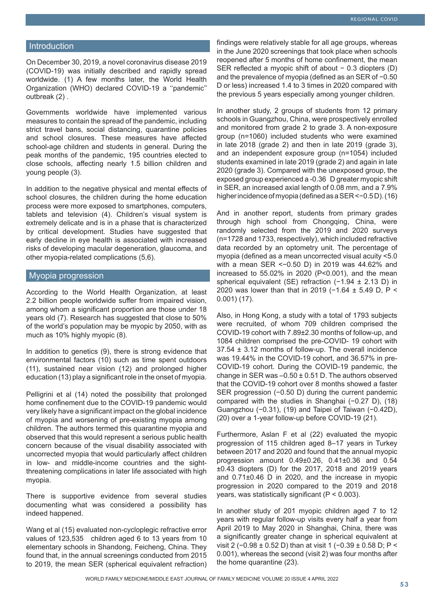#### Introduction

On December 30, 2019, a novel coronavirus disease 2019 (COVID-19) was initially described and rapidly spread worldwide. (1) A few months later, the World Health Organization (WHO) declared COVID-19 a ''pandemic'' outbreak (2) .

Governments worldwide have implemented various measures to contain the spread of the pandemic, including strict travel bans, social distancing, quarantine policies and school closures. These measures have affected school-age children and students in general. During the peak months of the pandemic, 195 countries elected to close schools, affecting nearly 1.5 billion children and young people (3).

In addition to the negative physical and mental effects of school closures, the children during the home education process were more exposed to smartphones, computers, tablets and television (4). Children's visual system is extremely delicate and is in a phase that is characterized by critical development. Studies have suggested that early decline in eye health is associated with increased risks of developing macular degeneration, glaucoma, and other myopia-related complications (5,6).

#### Myopia progression

According to the World Health Organization, at least 2.2 billion people worldwide suffer from impaired vision, among whom a significant proportion are those under 18 years old (7). Research has suggested that close to 50% of the world's population may be myopic by 2050, with as much as 10% highly myopic (8).

In addition to genetics (9), there is strong evidence that environmental factors (10) such as time spent outdoors (11), sustained near vision (12) and prolonged higher education (13) play a significant role in the onset of myopia.

Pelligrini et al (14) noted the possibility that prolonged home confinement due to the COVID-19 pandemic would very likely have a significant impact on the global incidence of myopia and worsening of pre-existing myopia among children. The authors termed this quarantine myopia and observed that this would represent a serious public health concern because of the visual disability associated with uncorrected myopia that would particularly affect children in low- and middle-income countries and the sightthreatening complications in later life associated with high myopia.

There is supportive evidence from several studies documenting what was considered a possibility has indeed happened.

Wang et al (15) evaluated non-cycloplegic refractive error values of 123,535 children aged 6 to 13 years from 10 elementary schools in Shandong, Feicheng, China. They found that, in the annual screenings conducted from 2015 to 2019, the mean SER (spherical equivalent refraction) findings were relatively stable for all age groups, whereas in the June 2020 screenings that took place when schools reopened after 5 months of home confinement, the mean SER reflected a myopic shift of about − 0.3 diopters (D) and the prevalence of myopia (defined as an SER of −0.50 D or less) increased 1.4 to 3 times in 2020 compared with the previous 5 years especially among younger children.

In another study, 2 groups of students from 12 primary schools in Guangzhou, China, were prospectively enrolled and monitored from grade 2 to grade 3. A non-exposure group (n=1060) included students who were examined in late 2018 (grade 2) and then in late 2019 (grade 3), and an independent exposure group (n=1054) included students examined in late 2019 (grade 2) and again in late 2020 (grade 3). Compared with the unexposed group, the exposed group experienced a -0.36 D greater myopic shift in SER, an increased axial length of 0.08 mm, and a 7.9% higher incidence of myopia (defined as a SER <−0.5 D). (16)

And in another report, students from primary grades through high school from Chongqing, China, were randomly selected from the 2019 and 2020 surveys (n=1728 and 1733, respectively), which included refractive data recorded by an optometry unit. The percentage of myopia (defined as a mean uncorrected visual acuity <5.0 with a mean SER <-0.50 D) in 2019 was 44.62% and increased to 55.02% in 2020 (P<0.001), and the mean spherical equivalent (SE) refraction (-1.94 ± 2.13 D) in 2020 was lower than that in 2019 (-1.64 ± 5.49 D, P < 0.001) (17).

Also, in Hong Kong, a study with a total of 1793 subjects were recruited, of whom 709 children comprised the COVID-19 cohort with 7.89±2.30 months of follow-up, and 1084 children comprised the pre-COVID- 19 cohort with 37.54 ± 3.12 months of follow-up. The overall incidence was 19.44% in the COVID-19 cohort, and 36.57% in pre-COVID-19 cohort. During the COVID-19 pandemic, the change in SER was  $-0.50 \pm 0.51$  D. The authors observed that the COVID-19 cohort over 8 months showed a faster SER progression (−0.50 D) during the current pandemic compared with the studies in Shanghai (−0.27 D), (18) Guangzhou (−0.31), (19) and Taipei of Taiwan (−0.42D), (20) over a 1-year follow-up before COVID-19 (21).

Furthermore, Aslan F et al (22) evaluated the myopic progression of 115 children aged 8–17 years in Turkey between 2017 and 2020 and found that the annual myopic progression amount 0.49±0.26, 0.41±0.36 and 0.54 ±0.43 diopters (D) for the 2017, 2018 and 2019 years and 0.71±0.46 D in 2020, and the increase in myopic progression in 2020 compared to the 2019 and 2018 years, was statistically significant (P < 0.003).

In another study of 201 myopic children aged 7 to 12 years with regular follow-up visits every half a year from April 2019 to May 2020 in Shanghai, China, there was a significantly greater change in spherical equivalent at visit 2 (−0.98 ± 0.52 D) than at visit 1 (−0.39 ± 0.58 D; P < 0.001), whereas the second (visit 2) was four months after the home quarantine (23).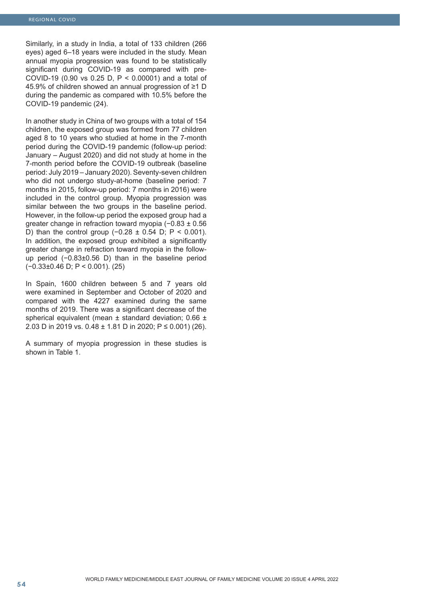Similarly, in a study in India, a total of 133 children (266 eyes) aged 6–18 years were included in the study. Mean annual myopia progression was found to be statistically significant during COVID-19 as compared with pre-COVID-19 (0.90 vs 0.25 D, P < 0.00001) and a total of 45.9% of children showed an annual progression of ≥1 D during the pandemic as compared with 10.5% before the COVID-19 pandemic (24).

In another study in China of two groups with a total of 154 children, the exposed group was formed from 77 children aged 8 to 10 years who studied at home in the 7-month period during the COVID-19 pandemic (follow-up period: January – August 2020) and did not study at home in the 7-month period before the COVID-19 outbreak (baseline period: July 2019 – January 2020). Seventy-seven children who did not undergo study-at-home (baseline period: 7 months in 2015, follow-up period: 7 months in 2016) were included in the control group. Myopia progression was similar between the two groups in the baseline period. However, in the follow-up period the exposed group had a greater change in refraction toward myopia (−0.83 ± 0.56 D) than the control group  $(-0.28 \pm 0.54)$  D; P < 0.001). In addition, the exposed group exhibited a significantly greater change in refraction toward myopia in the followup period (−0.83±0.56 D) than in the baseline period (−0.33±0.46 D; P < 0.001). (25)

In Spain, 1600 children between 5 and 7 years old were examined in September and October of 2020 and compared with the 4227 examined during the same months of 2019. There was a significant decrease of the spherical equivalent (mean ± standard deviation; 0.66 ± 2.03 D in 2019 vs. 0.48 ± 1.81 D in 2020; P ≤ 0.001) (26).

A summary of myopia progression in these studies is shown in Table 1.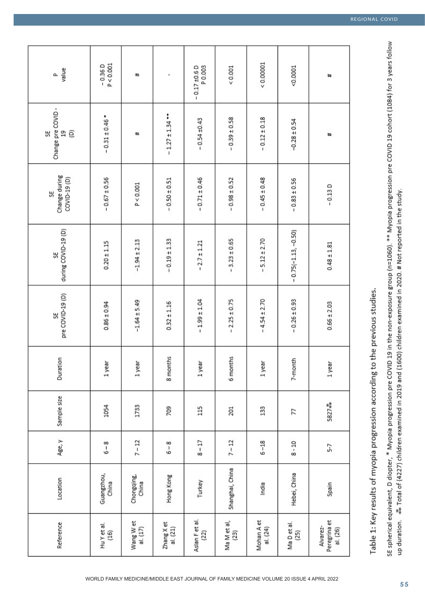| value<br>o.                          | P < 0.001<br>$-0.36D$ | #                       | ı                        | P0.003<br>$-0.17 + 0.6$ D | 0.001               | 0.00001                | $-0.0001$             | #                                    |
|--------------------------------------|-----------------------|-------------------------|--------------------------|---------------------------|---------------------|------------------------|-----------------------|--------------------------------------|
| Change pre COVID-<br>œ<br>ê<br>$\Xi$ | $-0.31 \pm 0.46$ *    | #                       | $-1.27 \pm 1.34$ **      | $-0.54 \pm 0.43$          | $-0.39 \pm 0.58$    | $-0.12 \pm 0.18$       | $-0.28 \pm 0.54$      | #                                    |
| Change during<br>COVID-19 (D)<br>5É  | $-0.67 \pm 0.56$      | P < 0.001               | $-0.50 \pm 0.51$         | $-0.71 \pm 0.46$          | $-0.98 \pm 0.52$    | $-0.45 \pm 0.48$       | $-0.83 \pm 0.56$      | $-0.13D$                             |
| during COVID-19 (D)<br>š             | $0.20 \pm 1.15$       | $-1.94 \pm 2.13$        | $-0.19 \pm 1.33$         | $-2.7 \pm 1.21$           | $-3.23 \pm 0.65$    | $-5.12 \pm 2.70$       | $-0.75(-1.13, -0.50)$ | $0.48 \pm 1.81$                      |
| pre COVID-19 (D)<br>55               | $0.86 \pm 0.94$       | $-1.64 \pm 5.49$        | $0.32 \pm 1.16$          | $-1.99 \pm 1.04$          | $-2.25 \pm 0.75$    | $-4.54 \pm 2.70$       | $-0.26 \pm 0.93$      | $0.66 \pm 2.03$                      |
| Duration                             | 1 year                | 1 year                  | 8 months                 | 1 year                    | 6 months            | 1 year                 | 7-month               | 1 year                               |
| Sample size                          | 1054                  | 1733                    | 709                      | 115                       | 201                 | 133                    | 77                    | 5827#*                               |
| Age, y                               | $6 - 8$               | $7 - 12$                | $6 - 8$                  | $8 - 17$                  | $7 - 12$            | $6 - 18$               | $8 - 10$              | 5-7                                  |
| Location                             | Guangzhou,<br>China   | Chongqing,<br>China     | Hong Kong                | Turkey                    | Shanghai, China     | India                  | Hebei, China          | Spain                                |
| Reference                            | Hu Y et al.<br>$(16)$ | Wang W et<br>al. $(17)$ | Zhang X et<br>al. $(21)$ | Aslan Fet al.<br>(22)     | Ma M et al,<br>(23) | Mohan A et<br>al. (24) | Ma Det al.<br>(25)    | Peregrina et<br>Alvarez-<br>al. (26) |

Table 1: Key results of myopia progression according to the previous studies.

SE spherical equivalent, D diopter, \* Myopia progression pre COVID 19 in the non-exposure group (n=1060). \*\* Myopia progression pre COVID 19 cohort (1084) for 3 years follow up duration.  $**$  Total of (4227) children examined in 2019 and (1600) children examined in 2020. # Not reported in the study.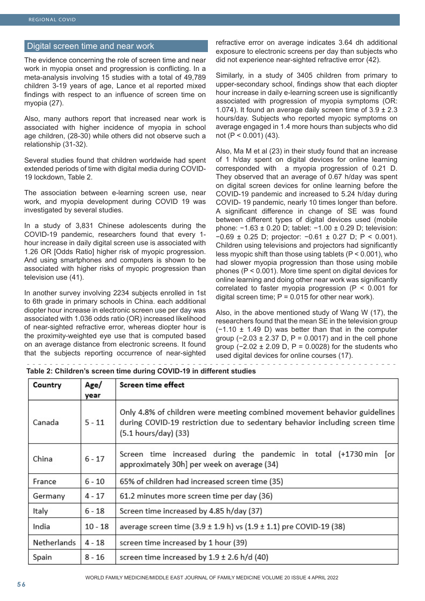#### Digital screen time and near work

The evidence concerning the role of screen time and near work in myopia onset and progression is conflicting. In a meta-analysis involving 15 studies with a total of 49,789 children 3-19 years of age, Lance et al reported mixed findings with respect to an influence of screen time on myopia (27).

Also, many authors report that increased near work is associated with higher incidence of myopia in school age children, (28-30) while others did not observe such a relationship (31-32).

Several studies found that children worldwide had spent extended periods of time with digital media during COVID-19 lockdown, Table 2.

The association between e-learning screen use, near work, and myopia development during COVID 19 was investigated by several studies.

In a study of 3,831 Chinese adolescents during the COVID-19 pandemic, researchers found that every 1 hour increase in daily digital screen use is associated with 1.26 OR [Odds Ratio] higher risk of myopic progression. And using smartphones and computers is shown to be associated with higher risks of myopic progression than television use (41).

In another survey involving 2234 subjects enrolled in 1st to 6th grade in primary schools in China. each additional diopter hour increase in electronic screen use per day was associated with 1.036 odds ratio (OR) increased likelihood of near-sighted refractive error, whereas diopter hour is the proximity-weighted eye use that is computed based on an average distance from electronic screens. It found that the subjects reporting occurrence of near-sighted

refractive error on average indicates 3.64 dh additional exposure to electronic screens per day than subjects who did not experience near-sighted refractive error (42).

Similarly, in a study of 3405 children from primary to upper-secondary school, findings show that each diopter hour increase in daily e-learning screen use is significantly associated with progression of myopia symptoms (OR: 1.074). It found an average daily screen time of  $3.9 \pm 2.3$ hours/day. Subjects who reported myopic symptoms on average engaged in 1.4 more hours than subjects who did not (P < 0.001) (43).

Also, Ma M et al (23) in their study found that an increase of 1 h/day spent on digital devices for online learning corresponded with a myopia progression of 0.21 D. They observed that an average of 0.67 h/day was spent on digital screen devices for online learning before the COVID-19 pandemic and increased to 5.24 h/day during COVID- 19 pandemic, nearly 10 times longer than before. A significant difference in change of SE was found between different types of digital devices used (mobile phone: −1.63 ± 0.20 D; tablet: −1.00 ± 0.29 D; television: −0.69 ± 0.25 D; projector: −0.61 ± 0.27 D; P < 0.001). Children using televisions and projectors had significantly less myopic shift than those using tablets (P < 0.001), who had slower myopia progression than those using mobile phones ( $P < 0.001$ ). More time spent on digital devices for online learning and doing other near work was significantly correlated to faster myopia progression (P < 0.001 for digital screen time;  $P = 0.015$  for other near work).

Also, in the above mentioned study of Wang W (17), the researchers found that the mean SE in the television group  $(-1.10 \pm 1.49 \text{ D})$  was better than that in the computer group ( $-2.03 \pm 2.37$  D, P = 0.0017) and in the cell phone group (−2.02 ± 2.09 D, P = 0.0028) for the students who used digital devices for online courses (17).

**Table 2: Children's screen time during COVID-19 in different studies**

| Country     | Age/      | Screen time effect                                                                                                                                                              |
|-------------|-----------|---------------------------------------------------------------------------------------------------------------------------------------------------------------------------------|
|             | year      |                                                                                                                                                                                 |
| Canada      | $5 - 11$  | Only 4.8% of children were meeting combined movement behavior guidelines<br>during COVID-19 restriction due to sedentary behavior including screen time<br>(5.1 hours/day) (33) |
| China       | $6 - 17$  | Screen time increased during the pandemic in total (+1730 min [or<br>approximately 30h] per week on average (34)                                                                |
| France      | $6 - 10$  | 65% of children had increased screen time (35)                                                                                                                                  |
| Germany     | $4 - 17$  | 61.2 minutes more screen time per day (36)                                                                                                                                      |
| Italy       | $6 - 18$  | Screen time increased by 4.85 h/day (37)                                                                                                                                        |
| India       | $10 - 18$ | average screen time $(3.9 \pm 1.9 \text{ h})$ vs $(1.9 \pm 1.1)$ pre COVID-19 (38)                                                                                              |
| Netherlands | $4 - 18$  | screen time increased by 1 hour (39)                                                                                                                                            |
| Spain       | $8 - 16$  | screen time increased by $1.9 \pm 2.6$ h/d (40)                                                                                                                                 |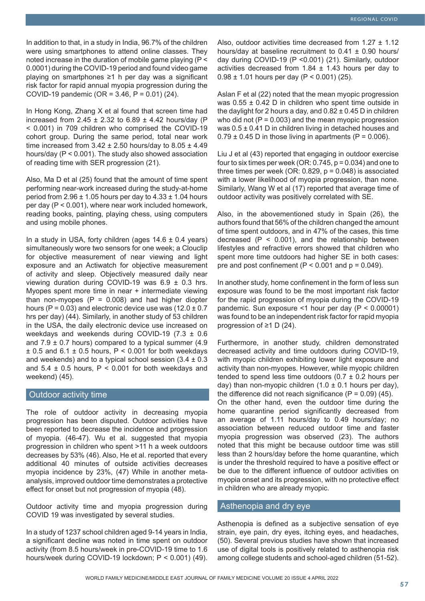In addition to that, in a study in India, 96.7% of the children were using smartphones to attend online classes. They noted increase in the duration of mobile game playing (P < 0.0001) during the COVID-19 period and found video game playing on smartphones ≥1 h per day was a significant risk factor for rapid annual myopia progression during the COVID-19 pandemic (OR = 3.46, P = 0.01) (24).

In Hong Kong, Zhang X et al found that screen time had increased from 2.45  $\pm$  2.32 to 6.89  $\pm$  4.42 hours/day (P < 0.001) in 709 children who comprised the COVID-19 cohort group. During the same period, total near work time increased from  $3.42 \pm 2.50$  hours/day to  $8.05 \pm 4.49$ hours/day (P < 0.001). The study also showed association of reading time with SER progression (21).

Also, Ma D et al (25) found that the amount of time spent performing near-work increased during the study-at-home period from  $2.96 \pm 1.05$  hours per day to  $4.33 \pm 1.04$  hours per day (P < 0.001), where near work included homework, reading books, painting, playing chess, using computers and using mobile phones.

In a study in USA, forty children (ages  $14.6 \pm 0.4$  years) simultaneously wore two sensors for one week; a Clouclip for objective measurement of near viewing and light exposure and an Actiwatch for objective measurement of activity and sleep. Objectively measured daily near viewing duration during COVID-19 was 6.9 ± 0.3 hrs. Myopes spent more time in near + intermediate viewing than non-myopes  $(P = 0.008)$  and had higher diopter hours (P =  $0.03$ ) and electronic device use was (12.0  $\pm$  0.7 hrs per day) (44). Similarly, in another study of 53 children in the USA, the daily electronic device use increased on weekdays and weekends during COVID-19 (7.3 ± 0.6 and  $7.9 \pm 0.7$  hours) compared to a typical summer (4.9)  $\pm$  0.5 and 6.1  $\pm$  0.5 hours, P < 0.001 for both weekdays and weekends) and to a typical school session  $(3.4 \pm 0.3)$ and  $5.4 \pm 0.5$  hours,  $P < 0.001$  for both weekdays and weekend) (45).

#### Outdoor activity time

The role of outdoor activity in decreasing myopia progression has been disputed. Outdoor activities have been reported to decrease the incidence and progression of myopia. (46-47). Wu et al. suggested that myopia progression in children who spent >11 h a week outdoors decreases by 53% (46). Also, He et al. reported that every additional 40 minutes of outside activities decreases myopia incidence by 23%, (47) While in another metaanalysis, improved outdoor time demonstrates a protective effect for onset but not progression of myopia (48).

Outdoor activity time and myopia progression during COVID 19 was investigated by several studies.

In a study of 1237 school children aged 9-14 years in India, a significant decline was noted in time spent on outdoor activity (from 8.5 hours/week in pre-COVID-19 time to 1.6 hours/week during COVID-19 lockdown; P < 0.001) (49).

Also, outdoor activities time decreased from  $1.27 \pm 1.12$ hours/day at baseline recruitment to  $0.41 \pm 0.90$  hours/ day during COVID-19 (P <0.001) (21). Similarly, outdoor activities decreased from  $1.84 \pm 1.43$  hours per day to  $0.98 \pm 1.01$  hours per day (P < 0.001) (25).

Aslan F et al (22) noted that the mean myopic progression was  $0.55 \pm 0.42$  D in children who spent time outside in the daylight for 2 hours a day, and  $0.82 \pm 0.45$  D in children who did not  $(P = 0.003)$  and the mean myopic progression was 0.5 ± 0.41 D in children living in detached houses and  $0.79 \pm 0.45$  D in those living in apartments (P = 0.006).

Liu J et al (43) reported that engaging in outdoor exercise four to six times per week (OR:  $0.745$ ,  $p = 0.034$ ) and one to three times per week (OR:  $0.829$ ,  $p = 0.048$ ) is associated with a lower likelihood of myopia progression, than none. Similarly, Wang W et al (17) reported that average time of outdoor activity was positively correlated with SE.

Also, in the abovementioned study in Spain (26), the authors found that 56% of the children changed the amount of time spent outdoors, and in 47% of the cases, this time decreased  $(P < 0.001)$ , and the relationship between lifestyles and refractive errors showed that children who spent more time outdoors had higher SE in both cases: pre and post confinement ( $P < 0.001$  and  $p = 0.049$ ).

In another study, home confinement in the form of less sun exposure was found to be the most important risk factor for the rapid progression of myopia during the COVID-19 pandemic. Sun exposure <1 hour per day (P < 0.00001) was found to be an independent risk factor for rapid myopia progression of ≥1 D (24).

Furthermore, in another study, children demonstrated decreased activity and time outdoors during COVID-19, with myopic children exhibiting lower light exposure and activity than non-myopes. However, while myopic children tended to spend less time outdoors  $(0.7 \pm 0.2$  hours per day) than non-myopic children  $(1.0 \pm 0.1$  hours per day), the difference did not reach significance  $(P = 0.09)$  (45). On the other hand, even the outdoor time during the home quarantine period significantly decreased from an average of 1.11 hours/day to 0.49 hours/day; no association between reduced outdoor time and faster myopia progression was observed (23). The authors noted that this might be because outdoor time was still less than 2 hours/day before the home quarantine, which is under the threshold required to have a positive effect or be due to the different influence of outdoor activities on myopia onset and its progression, with no protective effect in children who are already myopic.

#### Asthenopia and dry eye

Asthenopia is defined as a subjective sensation of eye strain, eye pain, dry eyes, itching eyes, and headaches, (50). Several previous studies have shown that increased use of digital tools is positively related to asthenopia risk among college students and school-aged children (51-52).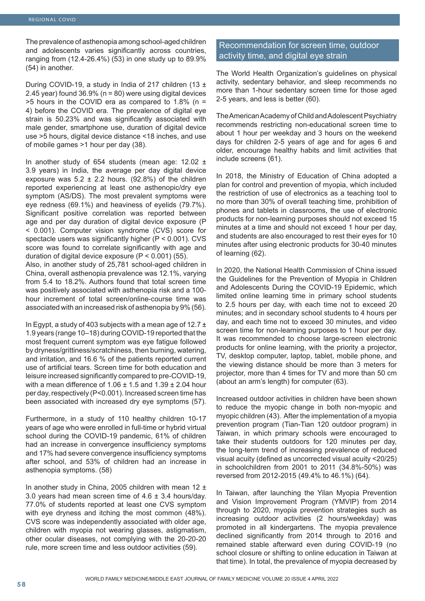The prevalence of asthenopia among school-aged children and adolescents varies significantly across countries, ranging from (12.4-26.4%) (53) in one study up to 89.9% (54) in another.

During COVID-19, a study in India of 217 children (13  $\pm$ 2.45 year) found  $36.9\%$  (n = 80) were using digital devices  $>5$  hours in the COVID era as compared to 1.8% (n = 4) before the COVID era. The prevalence of digital eye strain is 50.23% and was significantly associated with male gender, smartphone use, duration of digital device use >5 hours, digital device distance <18 inches, and use of mobile games >1 hour per day (38).

In another study of 654 students (mean age:  $12.02 \pm$ 3.9 years) in India, the average per day digital device exposure was  $5.2 \pm 2.2$  hours. (92.8%) of the children reported experiencing at least one asthenopic/dry eye symptom (AS/DS). The most prevalent symptoms were eye redness (69.1%) and heaviness of eyelids (79.7%). Significant positive correlation was reported between age and per day duration of digital device exposure (P < 0.001). Computer vision syndrome (CVS) score for spectacle users was significantly higher (P < 0.001). CVS score was found to correlate significantly with age and duration of digital device exposure  $(P < 0.001)$  (55).

Also, in another study of 25,781 school-aged children in China, overall asthenopia prevalence was 12.1%, varying from 5.4 to 18.2%. Authors found that total screen time was positively associated with asthenopia risk and a 100 hour increment of total screen/online-course time was associated with an increased risk of asthenopia by 9% (56).

In Egypt, a study of 403 subjects with a mean age of 12.7  $\pm$ 1.9 years (range 10–18) during COVID-19 reported that the most frequent current symptom was eye fatigue followed by dryness/grittiness/scratchiness, then burning, watering, and irritation, and 16.6 % of the patients reported current use of artificial tears. Screen time for both education and leisure increased significantly compared to pre-COVID-19, with a mean difference of 1.06  $\pm$  1.5 and 1.39  $\pm$  2.04 hour per day, respectively (P<0.001). Increased screen time has been associated with increased dry eye symptoms (57).

Furthermore, in a study of 110 healthy children 10-17 years of age who were enrolled in full-time or hybrid virtual school during the COVID-19 pandemic, 61% of children had an increase in convergence insufficiency symptoms and 17% had severe convergence insufficiency symptoms after school, and 53% of children had an increase in asthenopia symptoms. (58)

In another study in China, 2005 children with mean  $12 \pm$ 3.0 years had mean screen time of  $4.6 \pm 3.4$  hours/day. 77.0% of students reported at least one CVS symptom with eye dryness and itching the most common (48%). CVS score was independently associated with older age, children with myopia not wearing glasses, astigmatism, other ocular diseases, not complying with the 20-20-20 rule, more screen time and less outdoor activities (59).

### Recommendation for screen time, outdoor activity time, and digital eye strain

The World Health Organization's guidelines on physical activity, sedentary behavior, and sleep recommends no more than 1-hour sedentary screen time for those aged 2-5 years, and less is better (60).

The American Academy of Child and Adolescent Psychiatry recommends restricting non-educational screen time to about 1 hour per weekday and 3 hours on the weekend days for children 2-5 years of age and for ages 6 and older, encourage healthy habits and limit activities that include screens (61).

In 2018, the Ministry of Education of China adopted a plan for control and prevention of myopia, which included the restriction of use of electronics as a teaching tool to no more than 30% of overall teaching time, prohibition of phones and tablets in classrooms, the use of electronic products for non-learning purposes should not exceed 15 minutes at a time and should not exceed 1 hour per day, and students are also encouraged to rest their eyes for 10 minutes after using electronic products for 30-40 minutes of learning (62).

In 2020, the National Health Commission of China issued the Guidelines for the Prevention of Myopia in Children and Adolescents During the COVID-19 Epidemic, which limited online learning time in primary school students to 2.5 hours per day, with each time not to exceed 20 minutes; and in secondary school students to 4 hours per day, and each time not to exceed 30 minutes, and video screen time for non-learning purposes to 1 hour per day. It was recommended to choose large-screen electronic products for online learning, with the priority a projector, TV, desktop computer, laptop, tablet, mobile phone, and the viewing distance should be more than 3 meters for projector, more than 4 times for TV and more than 50 cm (about an arm's length) for computer (63).

Increased outdoor activities in children have been shown to reduce the myopic change in both non-myopic and myopic children (43). After the implementation of a myopia prevention program (Tian-Tian 120 outdoor program) in Taiwan, in which primary schools were encouraged to take their students outdoors for 120 minutes per day, the long-term trend of increasing prevalence of reduced visual acuity (defined as uncorrected visual acuity <20/25) in schoolchildren from 2001 to 2011 (34.8%-50%) was reversed from 2012-2015 (49.4% to 46.1%) (64).

In Taiwan, after launching the Yilan Myopia Prevention and Vision Improvement Program (YMVIP) from 2014 through to 2020, myopia prevention strategies such as increasing outdoor activities (2 hours/weekday) was promoted in all kindergartens. The myopia prevalence declined significantly from 2014 through to 2016 and remained stable afterward even during COVID-19 (no school closure or shifting to online education in Taiwan at that time). In total, the prevalence of myopia decreased by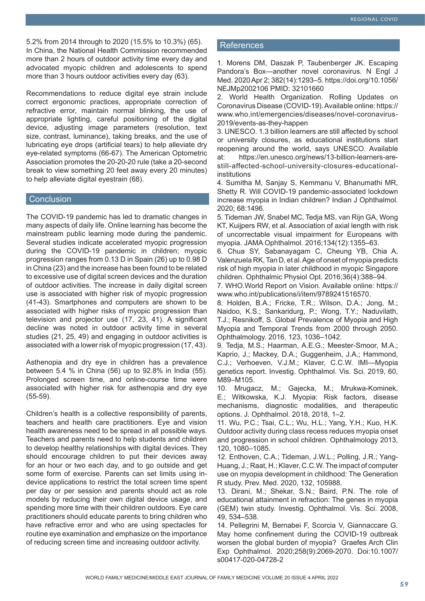5.2% from 2014 through to 2020 (15.5% to 10.3%) (65). In China, the National Health Commission recommended more than 2 hours of outdoor activity time every day and advocated myopic children and adolescents to spend more than 3 hours outdoor activities every day (63).

Recommendations to reduce digital eye strain include correct ergonomic practices, appropriate correction of refractive error, maintain normal blinking, the use of appropriate lighting, careful positioning of the digital device, adjusting image parameters (resolution, text size, contrast, luminance), taking breaks, and the use of lubricating eye drops (artificial tears) to help alleviate dry eye-related symptoms (66-67). The American Optometric Association promotes the 20-20-20 rule (take a 20-second break to view something 20 feet away every 20 minutes) to help alleviate digital eyestrain (68).

#### **Conclusion**

The COVID-19 pandemic has led to dramatic changes in many aspects of daily life. Online learning has become the mainstream public learning mode during the pandemic. Several studies indicate accelerated myopic progression during the COVID-19 pandemic in children; myopic progression ranges from 0.13 D in Spain (26) up to 0.98 D in China (23) and the increase has been found to be related to excessive use of digital screen devices and the duration of outdoor activities. The increase in daily digital screen use is associated with higher risk of myopic progression (41-43). Smartphones and computers are shown to be associated with higher risks of myopic progression than television and projector use (17, 23, 41). A significant decline was noted in outdoor activity time in several studies (21, 25, 49) and engaging in outdoor activities is associated with a lower risk of myopic progression (17, 43).

Asthenopia and dry eye in children has a prevalence between 5.4 % in China (56) up to 92.8% in India (55). Prolonged screen time, and online-course time were associated with higher risk for asthenopia and dry eye (55-59).

Children's health is a collective responsibility of parents, teachers and health care practitioners. Eye and vision health awareness need to be spread in all possible ways. Teachers and parents need to help students and children to develop healthy relationships with digital devices. They should encourage children to put their devices away for an hour or two each day, and to go outside and get some form of exercise. Parents can set limits using indevice applications to restrict the total screen time spent per day or per session and parents should act as role models by reducing their own digital device usage, and spending more time with their children outdoors. Eye care practitioners should educate parents to bring children who have refractive error and who are using spectacles for routine eye examination and emphasize on the importance of reducing screen time and increasing outdoor activity.

#### **References**

1. Morens DM, Daszak P, Taubenberger JK. Escaping Pandora's Box—another novel coronavirus. N Engl J Med. 2020 Apr 2; 382(14):1293–5. https://doi.org/10.1056/ NEJMp2002106 PMID: 32101660

2. World Health Organization. Rolling Updates on Coronavirus Disease (COVID-19). Available online: https:// www.who.int/emergencies/diseases/novel-coronavirus-2019/events-as-they-happen

3. UNESCO. 1.3 billion learners are still affected by school or university closures, as educational institutions start reopening around the world, says UNESCO. Available at: https://en.unesco.org/news/13-billion-learners-arestill-affected-school-university-closures-educationalinstitutions

4. Sumitha M, Sanjay S, Kemmanu V, Bhanumathi MR, Shetty R. Will COVID-19 pandemic-associated lockdown increase myopia in Indian children? Indian J Ophthalmol. 2020; 68:1496.

5. Tideman JW, Snabel MC, Tedja MS, van Rijn GA, Wong KT, Kuijpers RW, et al. Association of axial length with risk of uncorrectable visual impairment for Europeans with myopia. JAMA Ophthalmol. 2016;134(12):1355–63.

6. Chua SY, Sabanayagam C, Cheung YB, Chia A, Valenzuela RK, Tan D, et al. Age of onset of myopia predicts risk of high myopia in later childhood in myopic Singapore children. Ophthalmic Physiol Opt. 2016;36(4):388–94.

7. WHO.World Report on Vision. Available online: https:// www.who.int/publications/i/item/9789241516570.

8. Holden, B.A.; Fricke, T.R.; Wilson, D.A.; Jong, M.; Naidoo, K.S.; Sankaridurg, P.; Wong, T.Y.; Naduvilath, T.J.; Resnikoff, S. Global Prevalence of Myopia and High Myopia and Temporal Trends from 2000 through 2050. Ophthalmology. 2016, 123, 1036–1042.

9. Tedja, M.S.; Haarman, A.E.G.; Meester-Smoor, M.A.; Kaprio, J.; Mackey, D.A.; Guggenheim, J.A.; Hammond, C.J.; Verhoeven, V.J.M.; Klaver, C.C.W. IMI—Myopia genetics report. Investig. Ophthalmol. Vis. Sci. 2019, 60, M89–M105.

10. Mrugacz, M.; Gajecka, M.; Mrukwa-Kominek, E.; Witkowska, K.J. Myopia: Risk factors, disease mechanisms, diagnostic modalities, and therapeutic options. J. Ophthalmol. 2018, 2018, 1–2.

11. Wu, P.C.; Tsai, C.L.; Wu, H.L.; Yang, Y.H.; Kuo, H.K. Outdoor activity during class recess reduces myopia onset and progression in school children. Ophthalmology 2013, 120, 1080–1085.

12. Enthoven, C.A.; Tideman, J.W.L.; Polling, J.R.; Yang-Huang, J.; Raat, H.; Klaver, C.C.W. The impact of computer use on myopia development in childhood: The Generation R study. Prev. Med. 2020, 132, 105988.

13. Dirani, M.; Shekar, S.N.; Baird, P.N. The role of educational attainment in refraction: The genes in myopia (GEM) twin study. Investig. Ophthalmol. Vis. Sci. 2008, 49, 534–538.

14. Pellegrini M, Bernabei F, Scorcia V, Giannaccare G. May home confinement during the COVID-19 outbreak worsen the global burden of myopia? Graefes Arch Clin Exp Ophthalmol. 2020;258(9):2069-2070. Doi:10.1007/ s00417-020-04728-2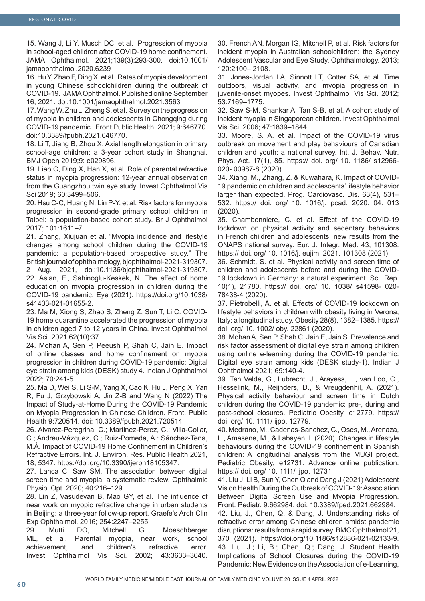15. Wang J, Li Y, Musch DC, et al. Progression of myopia in school-aged children after COVID-19 home confinement. JAMA Ophthalmol. 2021;139(3):293-300. doi:10.1001/ jamaophthalmol.2020.6239

16. Hu Y, Zhao F, Ding X, et al. Rates of myopia development in young Chinese schoolchildren during the outbreak of COVID-19. JAMA Ophthalmol. Published online September 16, 2021. doi:10.1001/jamaophthalmol.2021.3563

17. Wang W, Zhu L, Zheng S, et al. Survey on the progression of myopia in children and adolescents in Chongqing during COVID-19 pandemic. Front Public Health. 2021; 9:646770. doi:10.3389/fpubh.2021.646770.

18. Li T, Jiang B, Zhou X. Axial length elongation in primary school-age children: a 3-year cohort study in Shanghai. BMJ Open 2019;9: e029896.

19. Liao C, Ding X, Han X, et al. Role of parental refractive status in myopia progression: 12-year annual observation from the Guangzhou twin eye study. Invest Ophthalmol Vis Sci 2019; 60:3499–506.

20. Hsu C-C, Huang N, Lin P-Y, et al. Risk factors for myopia progression in second-grade primary school children in Taipei: a population-based cohort study. Br J Ophthalmol 2017; 101:1611–7.

21. Zhang, Xiujuan et al. "Myopia incidence and lifestyle changes among school children during the COVID-19 pandemic: a population-based prospective study." The British journal of ophthalmology, bjophthalmol-2021-319307.

2 Aug. 2021, doi:10.1136/bjophthalmol-2021-319307. 22. Aslan, F., Sahinoglu-Keskek, N. The effect of home education on myopia progression in children during the COVID-19 pandemic. Eye (2021). https://doi.org/10.1038/ s41433-021-01655-2.

23. Ma M, Xiong S, Zhao S, Zheng Z, Sun T, Li C. COVID-19 home quarantine accelerated the progression of myopia in children aged 7 to 12 years in China. Invest Ophthalmol Vis Sci. 2021;62(10):37.

24. Mohan A, Sen P, Peeush P, Shah C, Jain E. Impact of online classes and home confinement on myopia progression in children during COVID-19 pandemic: Digital eye strain among kids (DESK) study 4. Indian J Ophthalmol 2022; 70:241-5.

25. Ma D, Wei S, Li S-M, Yang X, Cao K, Hu J, Peng X, Yan R, Fu J, Grzybowski A, Jin Z-B and Wang N (2022) The Impact of Study-at-Home During the COVID-19 Pandemic on Myopia Progression in Chinese Children. Front. Public Health 9:720514. doi: 10.3389/fpubh.2021.720514

26. Alvarez-Peregrina, C.; Martinez-Perez, C.; Villa-Collar, C.; Andreu-Vázquez, C.; Ruiz-Pomeda, A.: Sánchez-Tena, M.Á. Impact of COVID-19 Home Confinement in Children's Refractive Errors. Int. J. Environ. Res. Public Health 2021, 18, 5347. https://doi.org/10.3390/ijerph18105347.

27. Lanca C, Saw SM. The association between digital screen time and myopia: a systematic review. Ophthalmic Physiol Opt. 2020; 40:216–129.

28. Lin Z, Vasudevan B, Mao GY, et al. The influence of near work on myopic refractive change in urban students in Beijing: a three-year follow-up report. Graefe's Arch Clin Exp Ophthalmol. 2016; 254:2247–2255.

29. Mutti DO, Mitchell GL, Moeschberger ML, et al. Parental myopia, near work, school achievement, and children's refractive error. Invest Ophthalmol Vis Sci. 2002; 43:3633–3640.

30. French AN, Morgan IG, Mitchell P, et al. Risk factors for incident myopia in Australian schoolchildren: the Sydney Adolescent Vascular and Eye Study. Ophthalmology. 2013; 120:2100– 2108.

31. Jones-Jordan LA, Sinnott LT, Cotter SA, et al. Time outdoors, visual activity, and myopia progression in juvenile-onset myopes. Invest Ophthalmol Vis Sci. 2012; 53:7169–1775.

32. Saw S-M, Shankar A, Tan S-B, et al. A cohort study of incident myopia in Singaporean children. Invest Ophthalmol Vis Sci. 2006; 47:1839–1844.

33. Moore, S. A. et al. Impact of the COVID-19 virus outbreak on movement and play behaviours of Canadian children and youth: a national survey. Int. J. Behav. Nutr. Phys. Act. 17(1), 85. https:// doi. org/ 10. 1186/ s12966- 020- 00987-8 (2020).

34. Xiang, M., Zhang, Z. & Kuwahara, K. Impact of COVID-19 pandemic on children and adolescents' lifestyle behavior larger than expected. Prog. Cardiovasc. Dis. 63(4), 531– 532. https:// doi. org/ 10. 1016/j. pcad. 2020. 04. 013 (2020).

35. Chambonniere, C. et al. Effect of the COVID-19 lockdown on physical activity and sedentary behaviors in French children and adolescents: new results from the ONAPS national survey. Eur. J. Integr. Med. 43, 101308. https:// doi. org/ 10. 1016/j. eujim. 2021. 101308 (2021).

36. Schmidt, S. et al. Physical activity and screen time of children and adolescents before and during the COVID-19 lockdown in Germany: a natural experiment. Sci. Rep. 10(1), 21780. https:// doi. org/ 10. 1038/ s41598- 020- 78438-4 (2020).

37. Pietrobelli, A. et al. Effects of COVID-19 lockdown on lifestyle behaviors in children with obesity living in Verona, Italy: a longitudinal study. Obesity 28(8), 1382–1385. https:// doi. org/ 10. 1002/ oby. 22861 (2020).

38. Mohan A, Sen P, Shah C, Jain E, Jain S. Prevalence and risk factor assessment of digital eye strain among children using online e-learning during the COVID-19 pandemic: Digital eye strain among kids (DESK study-1). Indian J Ophthalmol 2021; 69:140-4.

39. Ten Velde, G., Lubrecht, J., Arayess, L., van Loo, C., Hesselink, M., Reijnders, D., & Vreugdenhil, A. (2021). Physical activity behaviour and screen time in Dutch children during the COVID-19 pandemic: pre-, during and post-school closures. Pediatric Obesity, e12779. https:// doi. org/ 10. 1111/ ijpo. 12779.

40. Medrano, M., Cadenas-Sanchez, C., Oses, M., Arenaza, L., Amasene, M., & Labayen, I. (2020). Changes in lifestyle behaviours during the COVID-19 confinement in Spanish children: A longitudinal analysis from the MUGI project. Pediatric Obesity, e12731. Advance online publication. https:// doi. org/ 10. 1111/ ijpo. 12731

41. Liu J, Li B, Sun Y, Chen Q and Dang J (2021) Adolescent Vision Health During the Outbreak of COVID-19: Association Between Digital Screen Use and Myopia Progression. Front. Pediatr. 9:662984. doi: 10.3389/fped.2021.662984.

42. Liu, J., Chen, Q. & Dang, J. Understanding risks of refractive error among Chinese children amidst pandemic disruptions: results from a rapid survey. BMC Ophthalmol 21, 370 (2021). https://doi.org/10.1186/s12886-021-02133-9. 43. Liu, J.; Li, B.; Chen, Q.; Dang, J. Student Health Implications of School Closures during the COVID-19 Pandemic: New Evidence on the Association of e-Learning,